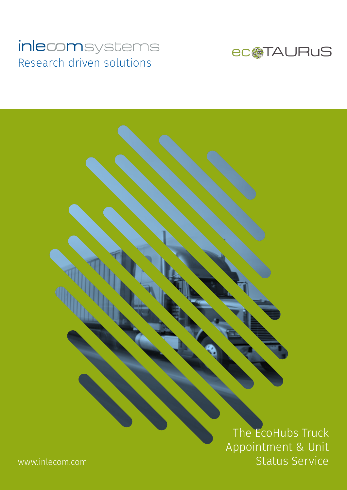### inlecomsystems Research driven solutions



The EcoHubs Truck Appointment & Unit Status Service

www.inlecom.com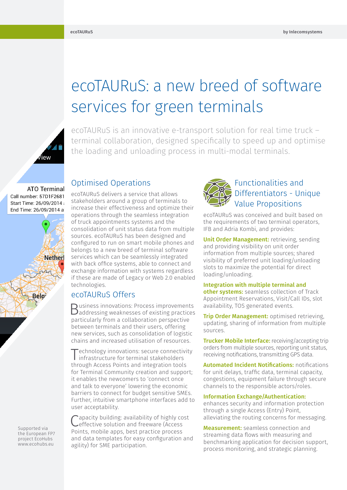# .<br>iew

# ecoTAURuS: a new breed of software services for green terminals

ecoTAURuS is an innovative e-transport solution for real time truck – terminal collaboration, designed specifically to speed up and optimise the loading and unloading process in multi-modal terminals.

**ATO Terminal** Call number: 57D1F2681 Start Time: 26/09/2014 End Time: 26/09/2014 a



Supported via the European FP7 project EcoHubs www.ecohubs.eu

## Optimised Operations

ecoTAURuS delivers a service that allows stakeholders around a group of terminals to increase their effectiveness and optimize their operations through the seamless integration of truck appointments systems and the consolidation of unit status data from multiple sources. ecoTAURuS has been designed and configured to run on smart mobile phones and belongs to a new breed of terminal software services which can be seamlessly integrated with back office systems, able to connect and exchange information with systems regardless if these are made of Legacy or Web 2.0 enabled technologies.

#### ecoTAURuS Offers

Business innovations: Process improvements addressing weaknesses of existing practices particularly from a collaboration perspective between terminals and their users, offering new services, such as consolidation of logistic chains and increased utilisation of resources.

Technology innovations: secure connectivity infrastructure for terminal stakeholders through Access Points and integration tools for Terminal Community creation and support; it enables the newcomers to 'connect once and talk to everyone' lowering the economic barriers to connect for budget sensitive SMEs. Further, intuitive smartphone interfaces add to user acceptability.

apacity building: availability of highly cost effective solution and freeware (Access Points, mobile apps, best practice process and data templates for easy configuration and agility) for SME participation.



#### Functionalities and Differentiators - Unique Value Propositions

ecoTAURuS was conceived and built based on the requirements of two terminal operators, IFB and Adria Kombi, and provides:

Unit Order Management: retrieving, sending and providing visibility on unit order information from multiple sources; shared visibility of preferred unit loading/unloading slots to maximize the potential for direct loading/unloading.

#### Integration with multiple terminal and

other systems: seamless collection of Track Appointment Reservations, Visit/Call IDs, slot availability, TOS generated events.

**Trip Order Management:** optimised retrieving, updating, sharing of information from multiple sources.

**Trucker Mobile Interface:** receiving/accepting trip orders from multiple sources, reporting unit status, receiving notifications, transmitting GPS data.

**Automated Incident Notifications: notifications** for unit delays, traffic data, terminal capacity, congestions, equipment failure through secure channels to the responsible actors/roles.

#### Information Exchange/Authentication:

enhances security and information protection through a single Access (Entry) Point, alleviating the routing concerns for messaging.

**Measurement:** seamless connection and streaming data flows with measuring and benchmarking application for decision support, process monitoring, and strategic planning.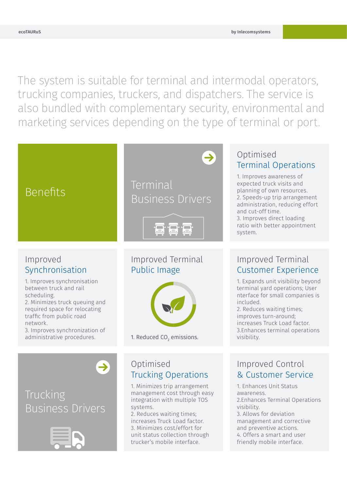4. Offers a smart and user friendly mobile interface.

The system is suitable for terminal and intermodal operators, trucking companies, truckers, and dispatchers. The service is also bundled with complementary security, environmental and marketing services depending on the type of terminal or port.



unit status collection through trucker's mobile interface.